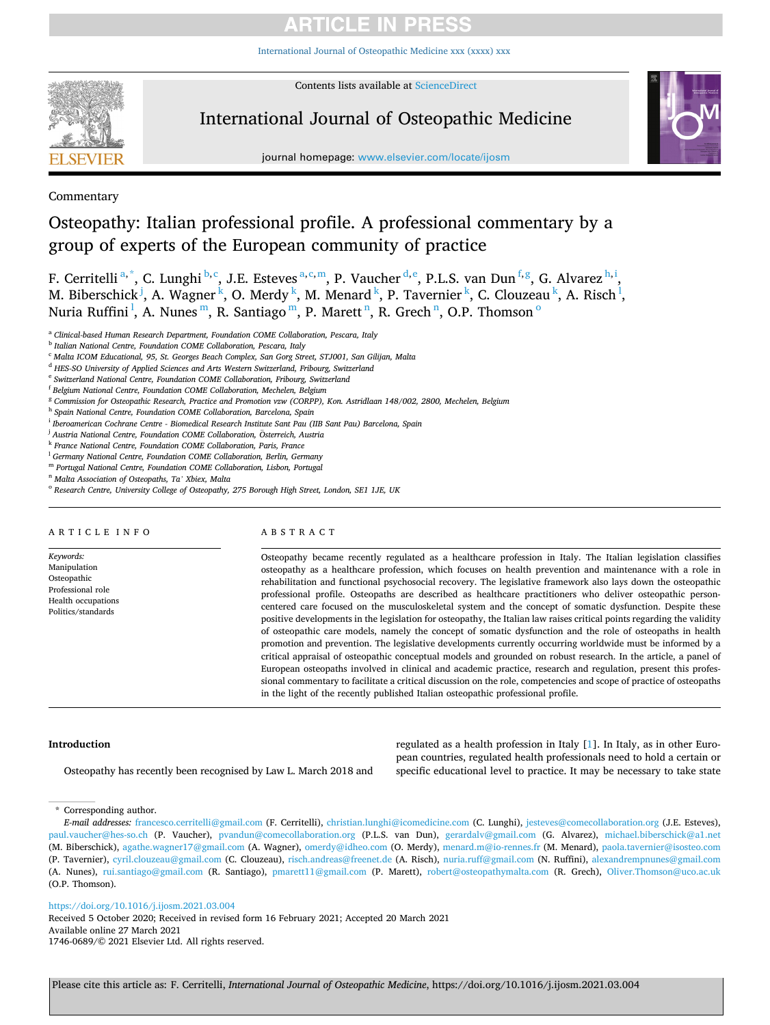[International Journal of Osteopathic Medicine xxx \(xxxx\) xxx](https://doi.org/10.1016/j.ijosm.2021.03.004)



Contents lists available at [ScienceDirect](www.sciencedirect.com/science/journal/17460689)

## International Journal of Osteopathic Medicine



journal homepage: [www.elsevier.com/locate/ijosm](https://www.elsevier.com/locate/ijosm) 

## Commentary

## Osteopathy: Italian professional profile. A professional commentary by a group of experts of the European community of practice

F. Cerritelli<sup>a,\*</sup>, C. Lunghi<sup>b,c</sup>, J.E. Esteves<sup>a,c,m</sup>, P. Vaucher<sup>d,e</sup>, P.L.S. van Dun<sup>f,g</sup>, G. Alvarez<sup>h,i</sup>, M. Biberschick<sup> j</sup>, A. Wagner<sup>k</sup>, O. Merdy<sup>k</sup>, M. Menard<sup>k</sup>, P. Tavernier<sup>k</sup>, C. Clouzeau<sup>k</sup>, A. Risch<sup>1</sup>, Nuria Ruffini<sup>1</sup>, A. Nunes<sup>m</sup>, R. Santiago<sup>m</sup>, P. Marett<sup>n</sup>, R. Grech<sup>n</sup>, O.P. Thomson<sup>o</sup>

<sup>a</sup> *Clinical-based Human Research Department, Foundation COME Collaboration, Pescara, Italy* 

<sup>d</sup> *HES-SO University of Applied Sciences and Arts Western Switzerland, Fribourg, Switzerland* 

- <sup>j</sup> Austria National Centre, Foundation COME Collaboration, Österreich, Austria
- <sup>k</sup> *France National Centre, Foundation COME Collaboration, Paris, France*
- <sup>l</sup> *Germany National Centre, Foundation COME Collaboration, Berlin, Germany*
- <sup>m</sup> *Portugal National Centre, Foundation COME Collaboration, Lisbon, Portugal*

<sup>n</sup> *Malta Association of Osteopaths, Ta' Xbiex, Malta* 

### ARTICLE INFO

*Keywords:*  Manipulation Osteopathic Professional role Health occupations Politics/standards

ABSTRACT

Osteopathy became recently regulated as a healthcare profession in Italy. The Italian legislation classifies osteopathy as a healthcare profession, which focuses on health prevention and maintenance with a role in rehabilitation and functional psychosocial recovery. The legislative framework also lays down the osteopathic professional profile. Osteopaths are described as healthcare practitioners who deliver osteopathic personcentered care focused on the musculoskeletal system and the concept of somatic dysfunction. Despite these positive developments in the legislation for osteopathy, the Italian law raises critical points regarding the validity of osteopathic care models, namely the concept of somatic dysfunction and the role of osteopaths in health promotion and prevention. The legislative developments currently occurring worldwide must be informed by a critical appraisal of osteopathic conceptual models and grounded on robust research. In the article, a panel of European osteopaths involved in clinical and academic practice, research and regulation, present this professional commentary to facilitate a critical discussion on the role, competencies and scope of practice of osteopaths in the light of the recently published Italian osteopathic professional profile.

### **Introduction**

Osteopathy has recently been recognised by Law L. March 2018 and

regulated as a health profession in Italy [\[1\]](#page-5-0). In Italy, as in other European countries, regulated health professionals need to hold a certain or specific educational level to practice. It may be necessary to take state

\* Corresponding author.

<https://doi.org/10.1016/j.ijosm.2021.03.004>

Available online 27 March 2021 1746-0689/© 2021 Elsevier Ltd. All rights reserved. Received 5 October 2020; Received in revised form 16 February 2021; Accepted 20 March 2021

<sup>b</sup> *Italian National Centre, Foundation COME Collaboration, Pescara, Italy* 

<sup>c</sup> *Malta ICOM Educational, 95, St. Georges Beach Complex, San Gorg Street, STJ001, San Gilijan, Malta* 

<sup>e</sup> *Switzerland National Centre, Foundation COME Collaboration, Fribourg, Switzerland* 

<sup>f</sup> *Belgium National Centre, Foundation COME Collaboration, Mechelen, Belgium* 

<sup>g</sup> *Commission for Osteopathic Research, Practice and Promotion vzw (CORPP), Kon. Astridlaan 148/002, 2800, Mechelen, Belgium* 

<sup>h</sup> *Spain National Centre, Foundation COME Collaboration, Barcelona, Spain* 

<sup>i</sup> *Iberoamerican Cochrane Centre - Biomedical Research Institute Sant Pau (IIB Sant Pau) Barcelona, Spain* 

<sup>o</sup> *Research Centre, University College of Osteopathy, 275 Borough High Street, London, SE1 1JE, UK* 

*E-mail addresses:* [francesco.cerritelli@gmail.com](mailto:francesco.cerritelli@gmail.com) (F. Cerritelli), [christian.lunghi@icomedicine.com](mailto:christian.lunghi@icomedicine.com) (C. Lunghi), [jesteves@comecollaboration.org](mailto:jesteves@comecollaboration.org) (J.E. Esteves), [paul.vaucher@hes-so.ch](mailto:paul.vaucher@hes-so.ch) (P. Vaucher), [pvandun@comecollaboration.org](mailto:pvandun@comecollaboration.org) (P.L.S. van Dun), [gerardalv@gmail.com](mailto:gerardalv@gmail.com) (G. Alvarez), [michael.biberschick@a1.net](mailto:michael.biberschick@a1.net)  (M. Biberschick), [agathe.wagner17@gmail.com](mailto:agathe.wagner17@gmail.com) (A. Wagner), [omerdy@idheo.com](mailto:omerdy@idheo.com) (O. Merdy), [menard.m@io-rennes.fr](mailto:menard.m@io-rennes.fr) (M. Menard), [paola.tavernier@isosteo.com](mailto:paola.tavernier@isosteo.com)  (P. Tavernier), [cyril.clouzeau@gmail.com](mailto:cyril.clouzeau@gmail.com) (C. Clouzeau), [risch.andreas@freenet.de](mailto:risch.andreas@freenet.de) (A. Risch), [nuria.ruff@gmail.com](mailto:nuria.ruff@gmail.com) (N. Ruffini), [alexandrempnunes@gmail.com](mailto:alexandrempnunes@gmail.com)  (A. Nunes), [rui.santiago@gmail.com](mailto:rui.santiago@gmail.com) (R. Santiago), [pmarett11@gmail.com](mailto:pmarett11@gmail.com) (P. Marett), [robert@osteopathymalta.com](mailto:robert@osteopathymalta.com) (R. Grech), [Oliver.Thomson@uco.ac.uk](mailto:Oliver.Thomson@uco.ac.uk)  (O.P. Thomson).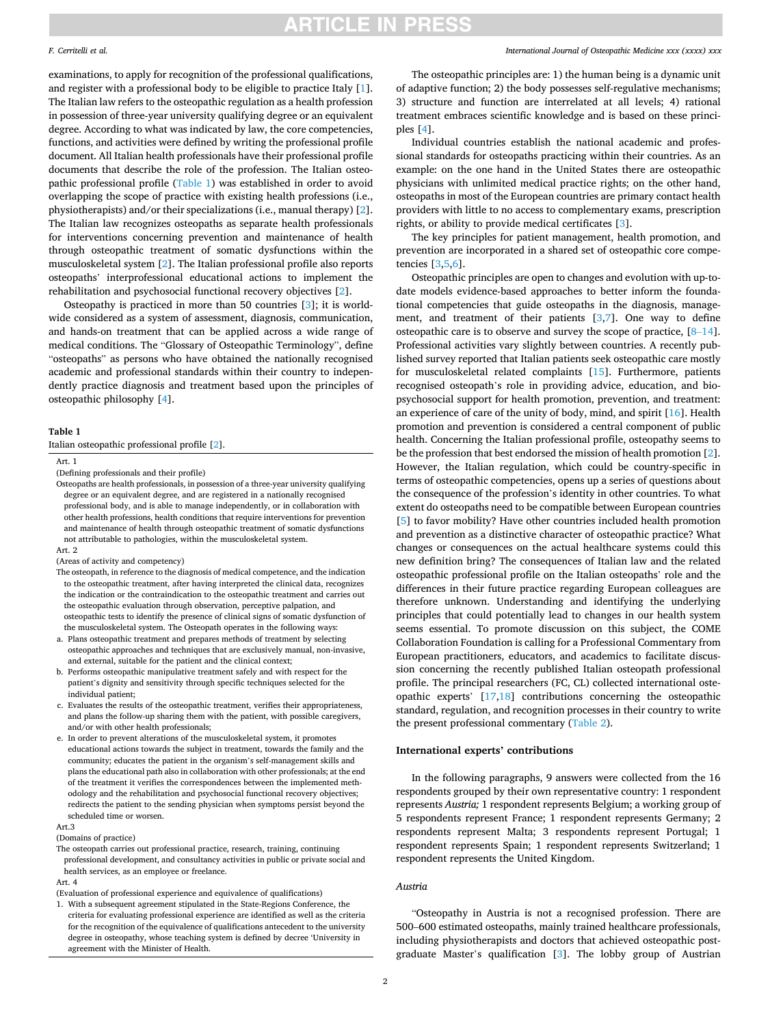### <span id="page-1-0"></span>*F. Cerritelli et al.*

examinations, to apply for recognition of the professional qualifications, and register with a professional body to be eligible to practice Italy [[1](#page-5-0)]. The Italian law refers to the osteopathic regulation as a health profession in possession of three-year university qualifying degree or an equivalent degree. According to what was indicated by law, the core competencies, functions, and activities were defined by writing the professional profile document. All Italian health professionals have their professional profile documents that describe the role of the profession. The Italian osteopathic professional profile (Table 1) was established in order to avoid overlapping the scope of practice with existing health professions (i.e., physiotherapists) and/or their specializations (i.e., manual therapy) [[2](#page-5-0)]. The Italian law recognizes osteopaths as separate health professionals for interventions concerning prevention and maintenance of health through osteopathic treatment of somatic dysfunctions within the musculoskeletal system [\[2\]](#page-5-0). The Italian professional profile also reports osteopaths' interprofessional educational actions to implement the rehabilitation and psychosocial functional recovery objectives [\[2\]](#page-5-0).

Osteopathy is practiced in more than 50 countries [\[3\]](#page-5-0); it is worldwide considered as a system of assessment, diagnosis, communication, and hands-on treatment that can be applied across a wide range of medical conditions. The "Glossary of Osteopathic Terminology", define "osteopaths" as persons who have obtained the nationally recognised academic and professional standards within their country to independently practice diagnosis and treatment based upon the principles of osteopathic philosophy [\[4\]](#page-5-0).

### **Table 1**

Italian osteopathic professional profile [\[2](#page-5-0)].

Art. 1

Osteopaths are health professionals, in possession of a three-year university qualifying degree or an equivalent degree, and are registered in a nationally recognised professional body, and is able to manage independently, or in collaboration with other health professions, health conditions that require interventions for prevention and maintenance of health through osteopathic treatment of somatic dysfunctions not attributable to pathologies, within the musculoskeletal system.

Art. 2

(Areas of activity and competency)

- The osteopath, in reference to the diagnosis of medical competence, and the indication to the osteopathic treatment, after having interpreted the clinical data, recognizes the indication or the contraindication to the osteopathic treatment and carries out the osteopathic evaluation through observation, perceptive palpation, and osteopathic tests to identify the presence of clinical signs of somatic dysfunction of the musculoskeletal system. The Osteopath operates in the following ways:
- a. Plans osteopathic treatment and prepares methods of treatment by selecting osteopathic approaches and techniques that are exclusively manual, non-invasive, and external, suitable for the patient and the clinical context;
- b. Performs osteopathic manipulative treatment safely and with respect for the patient's dignity and sensitivity through specific techniques selected for the individual patient;
- c. Evaluates the results of the osteopathic treatment, verifies their appropriateness, and plans the follow-up sharing them with the patient, with possible caregivers, and/or with other health professionals;
- e. In order to prevent alterations of the musculoskeletal system, it promotes educational actions towards the subject in treatment, towards the family and the community; educates the patient in the organism's self-management skills and plans the educational path also in collaboration with other professionals; at the end of the treatment it verifies the correspondences between the implemented methodology and the rehabilitation and psychosocial functional recovery objectives; redirects the patient to the sending physician when symptoms persist beyond the scheduled time or worsen.

#### Art.3

(Domains of practice)

The osteopath carries out professional practice, research, training, continuing professional development, and consultancy activities in public or private social and health services, as an employee or freelance.

Art. 4

(Evaluation of professional experience and equivalence of qualifications)

1. With a subsequent agreement stipulated in the State-Regions Conference, the criteria for evaluating professional experience are identified as well as the criteria for the recognition of the equivalence of qualifications antecedent to the university degree in osteopathy, whose teaching system is defined by decree 'University in agreement with the Minister of Health.

### *International Journal of Osteopathic Medicine xxx (xxxx) xxx*

The osteopathic principles are: 1) the human being is a dynamic unit of adaptive function; 2) the body possesses self-regulative mechanisms; 3) structure and function are interrelated at all levels; 4) rational treatment embraces scientific knowledge and is based on these principles [\[4\]](#page-5-0).

Individual countries establish the national academic and professional standards for osteopaths practicing within their countries. As an example: on the one hand in the United States there are osteopathic physicians with unlimited medical practice rights; on the other hand, osteopaths in most of the European countries are primary contact health providers with little to no access to complementary exams, prescription rights, or ability to provide medical certificates [\[3\]](#page-5-0).

The key principles for patient management, health promotion, and prevention are incorporated in a shared set of osteopathic core competencies [[3,5,6\]](#page-5-0).

Osteopathic principles are open to changes and evolution with up-todate models evidence-based approaches to better inform the foundational competencies that guide osteopaths in the diagnosis, management, and treatment of their patients [[3,7\]](#page-5-0). One way to define osteopathic care is to observe and survey the scope of practice, [8–[14](#page-5-0)]. Professional activities vary slightly between countries. A recently published survey reported that Italian patients seek osteopathic care mostly for musculoskeletal related complaints [[15\]](#page-5-0). Furthermore, patients recognised osteopath's role in providing advice, education, and biopsychosocial support for health promotion, prevention, and treatment: an experience of care of the unity of body, mind, and spirit [\[16\]](#page-5-0). Health promotion and prevention is considered a central component of public health. Concerning the Italian professional profile, osteopathy seems to be the profession that best endorsed the mission of health promotion [[2](#page-5-0)]. However, the Italian regulation, which could be country-specific in terms of osteopathic competencies, opens up a series of questions about the consequence of the profession's identity in other countries. To what extent do osteopaths need to be compatible between European countries [[5](#page-5-0)] to favor mobility? Have other countries included health promotion and prevention as a distinctive character of osteopathic practice? What changes or consequences on the actual healthcare systems could this new definition bring? The consequences of Italian law and the related osteopathic professional profile on the Italian osteopaths' role and the differences in their future practice regarding European colleagues are therefore unknown. Understanding and identifying the underlying principles that could potentially lead to changes in our health system seems essential. To promote discussion on this subject, the COME Collaboration Foundation is calling for a Professional Commentary from European practitioners, educators, and academics to facilitate discussion concerning the recently published Italian osteopath professional profile. The principal researchers (FC, CL) collected international osteopathic experts' [\[17,18](#page-5-0)] contributions concerning the osteopathic standard, regulation, and recognition processes in their country to write the present professional commentary ([Table 2](#page-2-0)).

### **International experts' contributions**

In the following paragraphs, 9 answers were collected from the 16 respondents grouped by their own representative country: 1 respondent represents *Austria;* 1 respondent represents Belgium; a working group of 5 respondents represent France; 1 respondent represents Germany; 2 respondents represent Malta; 3 respondents represent Portugal; 1 respondent represents Spain; 1 respondent represents Switzerland; 1 respondent represents the United Kingdom.

### *Austria*

"Osteopathy in Austria is not a recognised profession. There are 500–600 estimated osteopaths, mainly trained healthcare professionals, including physiotherapists and doctors that achieved osteopathic postgraduate Master's qualification [[3](#page-5-0)]. The lobby group of Austrian

<sup>(</sup>Defining professionals and their profile)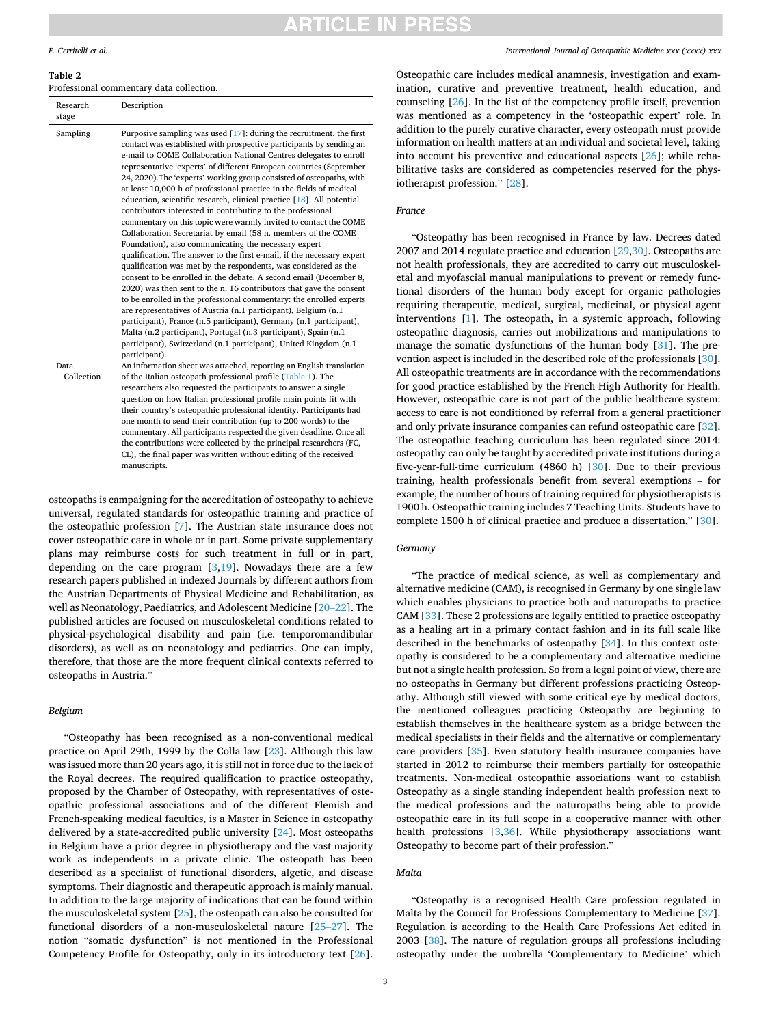## TICLE IN PRES

### <span id="page-2-0"></span>*F. Cerritelli et al.*

**Table 2** 

Professional commentary data collection.

| Research<br>stage  | Description                                                                                                                                                                                                                                                                                                                                                                                                                                                                                                                                                                                                                                                                                                                                                                                                                                                                                                                                                                                                                                                                                                                                                                                                                                                                                                                                                                                                                                   |
|--------------------|-----------------------------------------------------------------------------------------------------------------------------------------------------------------------------------------------------------------------------------------------------------------------------------------------------------------------------------------------------------------------------------------------------------------------------------------------------------------------------------------------------------------------------------------------------------------------------------------------------------------------------------------------------------------------------------------------------------------------------------------------------------------------------------------------------------------------------------------------------------------------------------------------------------------------------------------------------------------------------------------------------------------------------------------------------------------------------------------------------------------------------------------------------------------------------------------------------------------------------------------------------------------------------------------------------------------------------------------------------------------------------------------------------------------------------------------------|
| Sampling           | Purposive sampling was used $[17]$ : during the recruitment, the first<br>contact was established with prospective participants by sending an<br>e-mail to COME Collaboration National Centres delegates to enroll<br>representative 'experts' of different European countries (September<br>24, 2020). The 'experts' working group consisted of osteopaths, with<br>at least 10,000 h of professional practice in the fields of medical<br>education, scientific research, clinical practice [18]. All potential<br>contributors interested in contributing to the professional<br>commentary on this topic were warmly invited to contact the COME<br>Collaboration Secretariat by email (58 n. members of the COME<br>Foundation), also communicating the necessary expert<br>qualification. The answer to the first e-mail, if the necessary expert<br>qualification was met by the respondents, was considered as the<br>consent to be enrolled in the debate. A second email (December 8,<br>2020) was then sent to the n. 16 contributors that gave the consent<br>to be enrolled in the professional commentary: the enrolled experts<br>are representatives of Austria (n.1 participant), Belgium (n.1<br>participant), France (n.5 participant), Germany (n.1 participant),<br>Malta (n.2 participant), Portugal (n.3 participant), Spain (n.1<br>participant), Switzerland (n.1 participant), United Kingdom (n.1<br>participant). |
| Data<br>Collection | An information sheet was attached, reporting an English translation<br>of the Italian osteopath professional profile (Table 1). The<br>researchers also requested the participants to answer a single<br>question on how Italian professional profile main points fit with<br>their country's osteopathic professional identity. Participants had<br>one month to send their contribution (up to 200 words) to the<br>commentary. All participants respected the given deadline. Once all<br>the contributions were collected by the principal researchers (FC,<br>CL), the final paper was written without editing of the received                                                                                                                                                                                                                                                                                                                                                                                                                                                                                                                                                                                                                                                                                                                                                                                                           |
|                    | manuscripts.                                                                                                                                                                                                                                                                                                                                                                                                                                                                                                                                                                                                                                                                                                                                                                                                                                                                                                                                                                                                                                                                                                                                                                                                                                                                                                                                                                                                                                  |

osteopaths is campaigning for the accreditation of osteopathy to achieve universal, regulated standards for osteopathic training and practice of the osteopathic profession [\[7\]](#page-5-0). The Austrian state insurance does not cover osteopathic care in whole or in part. Some private supplementary plans may reimburse costs for such treatment in full or in part, depending on the care program  $[3,19]$  $[3,19]$  $[3,19]$  $[3,19]$ . Nowadays there are a few research papers published in indexed Journals by different authors from the Austrian Departments of Physical Medicine and Rehabilitation, as well as Neonatology, Paediatrics, and Adolescent Medicine [\[20](#page-5-0)–22]. The published articles are focused on musculoskeletal conditions related to physical-psychological disability and pain (i.e. temporomandibular disorders), as well as on neonatology and pediatrics. One can imply, therefore, that those are the more frequent clinical contexts referred to osteopaths in Austria."

### *Belgium*

"Osteopathy has been recognised as a non-conventional medical practice on April 29th, 1999 by the Colla law [[23\]](#page-5-0). Although this law was issued more than 20 years ago, it is still not in force due to the lack of the Royal decrees. The required qualification to practice osteopathy, proposed by the Chamber of Osteopathy, with representatives of osteopathic professional associations and of the different Flemish and French-speaking medical faculties, is a Master in Science in osteopathy delivered by a state-accredited public university [\[24](#page-5-0)]. Most osteopaths in Belgium have a prior degree in physiotherapy and the vast majority work as independents in a private clinic. The osteopath has been described as a specialist of functional disorders, algetic, and disease symptoms. Their diagnostic and therapeutic approach is mainly manual. In addition to the large majority of indications that can be found within the musculoskeletal system [[25\]](#page-5-0), the osteopath can also be consulted for functional disorders of a non-musculoskeletal nature [\[25](#page-5-0)–27]. The notion "somatic dysfunction" is not mentioned in the Professional Competency Profile for Osteopathy, only in its introductory text [\[26](#page-5-0)].

*International Journal of Osteopathic Medicine xxx (xxxx) xxx*

Osteopathic care includes medical anamnesis, investigation and examination, curative and preventive treatment, health education, and counseling [\[26](#page-5-0)]. In the list of the competency profile itself, prevention was mentioned as a competency in the 'osteopathic expert' role. In addition to the purely curative character, every osteopath must provide information on health matters at an individual and societal level, taking into account his preventive and educational aspects [\[26](#page-5-0)]; while rehabilitative tasks are considered as competencies reserved for the physiotherapist profession." [\[28](#page-6-0)].

#### *France*

"Osteopathy has been recognised in France by law. Decrees dated 2007 and 2014 regulate practice and education [[29,30](#page-6-0)]. Osteopaths are not health professionals, they are accredited to carry out musculoskeletal and myofascial manual manipulations to prevent or remedy functional disorders of the human body except for organic pathologies requiring therapeutic, medical, surgical, medicinal, or physical agent interventions [\[1\]](#page-5-0). The osteopath, in a systemic approach, following osteopathic diagnosis, carries out mobilizations and manipulations to manage the somatic dysfunctions of the human body [[31\]](#page-6-0). The prevention aspect is included in the described role of the professionals [\[30](#page-6-0)]. All osteopathic treatments are in accordance with the recommendations for good practice established by the French High Authority for Health. However, osteopathic care is not part of the public healthcare system: access to care is not conditioned by referral from a general practitioner and only private insurance companies can refund osteopathic care [\[32](#page-6-0)]. The osteopathic teaching curriculum has been regulated since 2014: osteopathy can only be taught by accredited private institutions during a five-year-full-time curriculum (4860 h) [\[30](#page-6-0)]. Due to their previous training, health professionals benefit from several exemptions – for example, the number of hours of training required for physiotherapists is 1900 h. Osteopathic training includes 7 Teaching Units. Students have to complete 1500 h of clinical practice and produce a dissertation." [[30\]](#page-6-0).

#### *Germany*

"The practice of medical science, as well as complementary and alternative medicine (CAM), is recognised in Germany by one single law which enables physicians to practice both and naturopaths to practice CAM [[33\]](#page-6-0). These 2 professions are legally entitled to practice osteopathy as a healing art in a primary contact fashion and in its full scale like described in the benchmarks of osteopathy [\[34](#page-6-0)]. In this context osteopathy is considered to be a complementary and alternative medicine but not a single health profession. So from a legal point of view, there are no osteopaths in Germany but different professions practicing Osteopathy. Although still viewed with some critical eye by medical doctors, the mentioned colleagues practicing Osteopathy are beginning to establish themselves in the healthcare system as a bridge between the medical specialists in their fields and the alternative or complementary care providers [\[35](#page-6-0)]. Even statutory health insurance companies have started in 2012 to reimburse their members partially for osteopathic treatments. Non-medical osteopathic associations want to establish Osteopathy as a single standing independent health profession next to the medical professions and the naturopaths being able to provide osteopathic care in its full scope in a cooperative manner with other health professions [[3](#page-5-0),[36\]](#page-6-0). While physiotherapy associations want Osteopathy to become part of their profession."

### *Malta*

"Osteopathy is a recognised Health Care profession regulated in Malta by the Council for Professions Complementary to Medicine [\[37](#page-6-0)]. Regulation is according to the Health Care Professions Act edited in 2003 [\[38](#page-6-0)]. The nature of regulation groups all professions including osteopathy under the umbrella 'Complementary to Medicine' which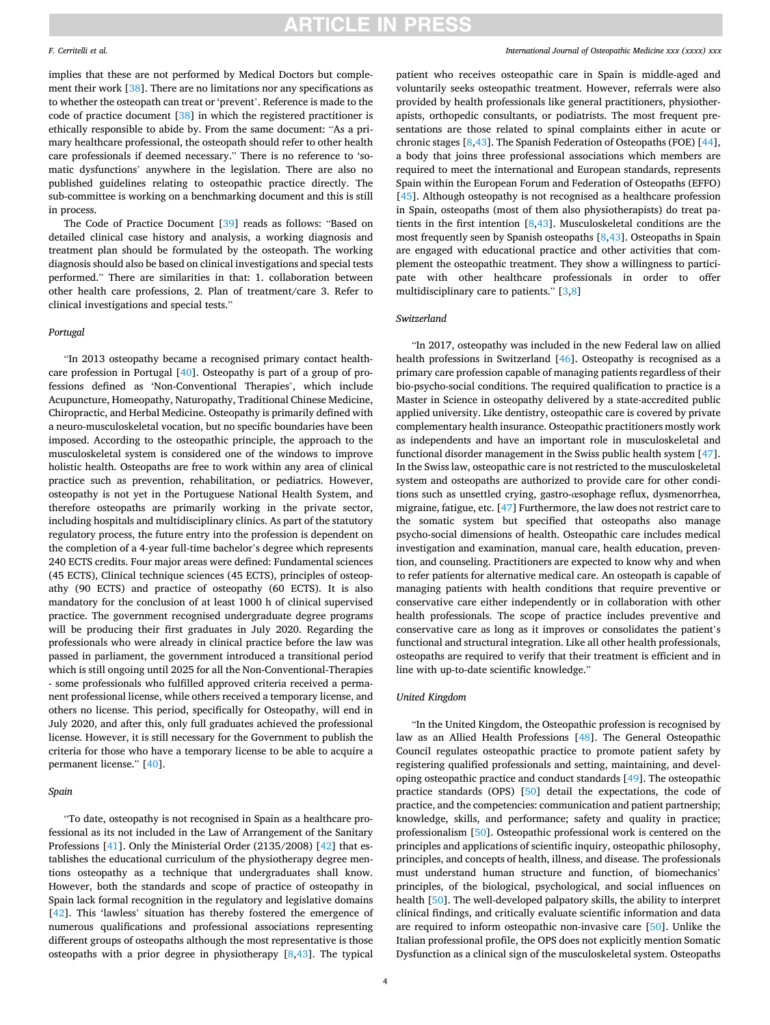#### *F. Cerritelli et al.*

implies that these are not performed by Medical Doctors but complement their work [[38\]](#page-6-0). There are no limitations nor any specifications as to whether the osteopath can treat or 'prevent'. Reference is made to the code of practice document [\[38](#page-6-0)] in which the registered practitioner is ethically responsible to abide by. From the same document: "As a primary healthcare professional, the osteopath should refer to other health care professionals if deemed necessary." There is no reference to 'somatic dysfunctions' anywhere in the legislation. There are also no published guidelines relating to osteopathic practice directly. The sub-committee is working on a benchmarking document and this is still in process.

The Code of Practice Document [[39](#page-6-0)] reads as follows: "Based on detailed clinical case history and analysis, a working diagnosis and treatment plan should be formulated by the osteopath. The working diagnosis should also be based on clinical investigations and special tests performed." There are similarities in that: 1. collaboration between other health care professions, 2. Plan of treatment/care 3. Refer to clinical investigations and special tests."

### *Portugal*

"In 2013 osteopathy became a recognised primary contact healthcare profession in Portugal [[40](#page-6-0)]. Osteopathy is part of a group of professions defined as 'Non-Conventional Therapies', which include Acupuncture, Homeopathy, Naturopathy, Traditional Chinese Medicine, Chiropractic, and Herbal Medicine. Osteopathy is primarily defined with a neuro-musculoskeletal vocation, but no specific boundaries have been imposed. According to the osteopathic principle, the approach to the musculoskeletal system is considered one of the windows to improve holistic health. Osteopaths are free to work within any area of clinical practice such as prevention, rehabilitation, or pediatrics. However, osteopathy is not yet in the Portuguese National Health System, and therefore osteopaths are primarily working in the private sector, including hospitals and multidisciplinary clinics. As part of the statutory regulatory process, the future entry into the profession is dependent on the completion of a 4-year full-time bachelor's degree which represents 240 ECTS credits. Four major areas were defined: Fundamental sciences (45 ECTS), Clinical technique sciences (45 ECTS), principles of osteopathy (90 ECTS) and practice of osteopathy (60 ECTS). It is also mandatory for the conclusion of at least 1000 h of clinical supervised practice. The government recognised undergraduate degree programs will be producing their first graduates in July 2020. Regarding the professionals who were already in clinical practice before the law was passed in parliament, the government introduced a transitional period which is still ongoing until 2025 for all the Non-Conventional-Therapies - some professionals who fulfilled approved criteria received a permanent professional license, while others received a temporary license, and others no license. This period, specifically for Osteopathy, will end in July 2020, and after this, only full graduates achieved the professional license. However, it is still necessary for the Government to publish the criteria for those who have a temporary license to be able to acquire a permanent license." [\[40](#page-6-0)].

### *Spain*

"To date, osteopathy is not recognised in Spain as a healthcare professional as its not included in the Law of Arrangement of the Sanitary Professions [[41\]](#page-6-0). Only the Ministerial Order (2135/2008) [[42\]](#page-6-0) that establishes the educational curriculum of the physiotherapy degree mentions osteopathy as a technique that undergraduates shall know. However, both the standards and scope of practice of osteopathy in Spain lack formal recognition in the regulatory and legislative domains [[42\]](#page-6-0). This 'lawless' situation has thereby fostered the emergence of numerous qualifications and professional associations representing different groups of osteopaths although the most representative is those osteopaths with a prior degree in physiotherapy  $[8,43]$  $[8,43]$  $[8,43]$  $[8,43]$ . The typical

patient who receives osteopathic care in Spain is middle-aged and voluntarily seeks osteopathic treatment. However, referrals were also provided by health professionals like general practitioners, physiotherapists, orthopedic consultants, or podiatrists. The most frequent presentations are those related to spinal complaints either in acute or chronic stages [\[8,](#page-5-0)[43\]](#page-6-0). The Spanish Federation of Osteopaths (FOE) [\[44](#page-6-0)], a body that joins three professional associations which members are required to meet the international and European standards, represents Spain within the European Forum and Federation of Osteopaths (EFFO) [[45\]](#page-6-0). Although osteopathy is not recognised as a healthcare profession in Spain, osteopaths (most of them also physiotherapists) do treat patients in the first intention [[8](#page-5-0),[43\]](#page-6-0). Musculoskeletal conditions are the most frequently seen by Spanish osteopaths [[8](#page-5-0)[,43](#page-6-0)]. Osteopaths in Spain are engaged with educational practice and other activities that complement the osteopathic treatment. They show a willingness to participate with other healthcare professionals in order to offer multidisciplinary care to patients." [\[3,8](#page-5-0)]

### *Switzerland*

"In 2017, osteopathy was included in the new Federal law on allied health professions in Switzerland [[46\]](#page-6-0). Osteopathy is recognised as a primary care profession capable of managing patients regardless of their bio-psycho-social conditions. The required qualification to practice is a Master in Science in osteopathy delivered by a state-accredited public applied university. Like dentistry, osteopathic care is covered by private complementary health insurance. Osteopathic practitioners mostly work as independents and have an important role in musculoskeletal and functional disorder management in the Swiss public health system [\[47](#page-6-0)]. In the Swiss law, osteopathic care is not restricted to the musculoskeletal system and osteopaths are authorized to provide care for other conditions such as unsettled crying, gastro-œsophage reflux, dysmenorrhea, migraine, fatigue, etc. [[47\]](#page-6-0) Furthermore, the law does not restrict care to the somatic system but specified that osteopaths also manage psycho-social dimensions of health. Osteopathic care includes medical investigation and examination, manual care, health education, prevention, and counseling. Practitioners are expected to know why and when to refer patients for alternative medical care. An osteopath is capable of managing patients with health conditions that require preventive or conservative care either independently or in collaboration with other health professionals. The scope of practice includes preventive and conservative care as long as it improves or consolidates the patient's functional and structural integration. Like all other health professionals, osteopaths are required to verify that their treatment is efficient and in line with up-to-date scientific knowledge."

### *United Kingdom*

"In the United Kingdom, the Osteopathic profession is recognised by law as an Allied Health Professions [[48\]](#page-6-0). The General Osteopathic Council regulates osteopathic practice to promote patient safety by registering qualified professionals and setting, maintaining, and developing osteopathic practice and conduct standards [\[49](#page-6-0)]. The osteopathic practice standards (OPS) [\[50](#page-6-0)] detail the expectations, the code of practice, and the competencies: communication and patient partnership; knowledge, skills, and performance; safety and quality in practice; professionalism [\[50](#page-6-0)]. Osteopathic professional work is centered on the principles and applications of scientific inquiry, osteopathic philosophy, principles, and concepts of health, illness, and disease. The professionals must understand human structure and function, of biomechanics' principles, of the biological, psychological, and social influences on health [\[50](#page-6-0)]. The well-developed palpatory skills, the ability to interpret clinical findings, and critically evaluate scientific information and data are required to inform osteopathic non-invasive care [[50\]](#page-6-0). Unlike the Italian professional profile, the OPS does not explicitly mention Somatic Dysfunction as a clinical sign of the musculoskeletal system. Osteopaths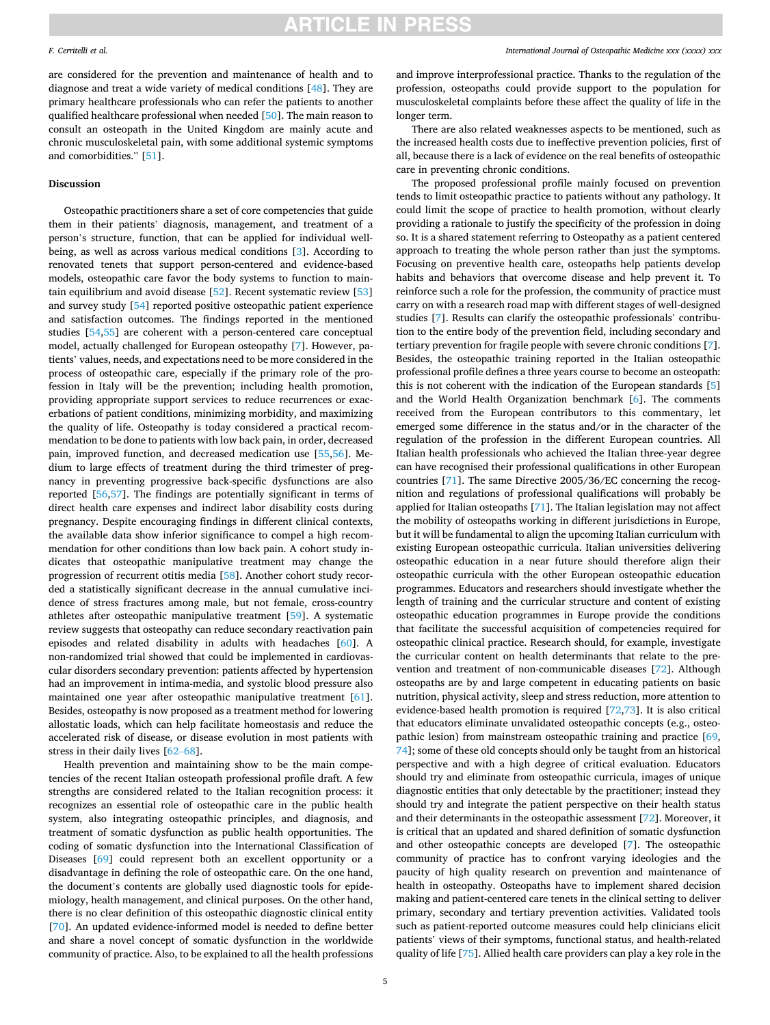## are considered for the prevention and maintenance of health and to diagnose and treat a wide variety of medical conditions [[48\]](#page-6-0). They are primary healthcare professionals who can refer the patients to another qualified healthcare professional when needed [\[50](#page-6-0)]. The main reason to consult an osteopath in the United Kingdom are mainly acute and chronic musculoskeletal pain, with some additional systemic symptoms and comorbidities." [[51\]](#page-6-0).

### **Discussion**

Osteopathic practitioners share a set of core competencies that guide them in their patients' diagnosis, management, and treatment of a person's structure, function, that can be applied for individual wellbeing, as well as across various medical conditions [\[3\]](#page-5-0). According to renovated tenets that support person-centered and evidence-based models, osteopathic care favor the body systems to function to maintain equilibrium and avoid disease [[52\]](#page-6-0). Recent systematic review [\[53](#page-6-0)] and survey study [[54\]](#page-6-0) reported positive osteopathic patient experience and satisfaction outcomes. The findings reported in the mentioned studies [[54,55](#page-6-0)] are coherent with a person-centered care conceptual model, actually challenged for European osteopathy [[7](#page-5-0)]. However, patients' values, needs, and expectations need to be more considered in the process of osteopathic care, especially if the primary role of the profession in Italy will be the prevention; including health promotion, providing appropriate support services to reduce recurrences or exacerbations of patient conditions, minimizing morbidity, and maximizing the quality of life. Osteopathy is today considered a practical recommendation to be done to patients with low back pain, in order, decreased pain, improved function, and decreased medication use [\[55,56](#page-6-0)]. Medium to large effects of treatment during the third trimester of pregnancy in preventing progressive back-specific dysfunctions are also reported [\[56](#page-6-0),[57\]](#page-6-0). The findings are potentially significant in terms of direct health care expenses and indirect labor disability costs during pregnancy. Despite encouraging findings in different clinical contexts, the available data show inferior significance to compel a high recommendation for other conditions than low back pain. A cohort study indicates that osteopathic manipulative treatment may change the progression of recurrent otitis media [\[58](#page-6-0)]. Another cohort study recorded a statistically significant decrease in the annual cumulative incidence of stress fractures among male, but not female, cross-country athletes after osteopathic manipulative treatment [[59](#page-6-0)]. A systematic review suggests that osteopathy can reduce secondary reactivation pain episodes and related disability in adults with headaches [[60](#page-6-0)]. A non-randomized trial showed that could be implemented in cardiovascular disorders secondary prevention: patients affected by hypertension had an improvement in intima-media, and systolic blood pressure also maintained one year after osteopathic manipulative treatment [\[61](#page-6-0)]. Besides, osteopathy is now proposed as a treatment method for lowering allostatic loads, which can help facilitate homeostasis and reduce the accelerated risk of disease, or disease evolution in most patients with stress in their daily lives [\[62](#page-6-0)–68].

Health prevention and maintaining show to be the main competencies of the recent Italian osteopath professional profile draft. A few strengths are considered related to the Italian recognition process: it recognizes an essential role of osteopathic care in the public health system, also integrating osteopathic principles, and diagnosis, and treatment of somatic dysfunction as public health opportunities. The coding of somatic dysfunction into the International Classification of Diseases [\[69](#page-6-0)] could represent both an excellent opportunity or a disadvantage in defining the role of osteopathic care. On the one hand, the document's contents are globally used diagnostic tools for epidemiology, health management, and clinical purposes. On the other hand, there is no clear definition of this osteopathic diagnostic clinical entity [[70\]](#page-6-0). An updated evidence-informed model is needed to define better and share a novel concept of somatic dysfunction in the worldwide community of practice. Also, to be explained to all the health professions

and improve interprofessional practice. Thanks to the regulation of the profession, osteopaths could provide support to the population for musculoskeletal complaints before these affect the quality of life in the longer term.

There are also related weaknesses aspects to be mentioned, such as the increased health costs due to ineffective prevention policies, first of all, because there is a lack of evidence on the real benefits of osteopathic care in preventing chronic conditions.

The proposed professional profile mainly focused on prevention tends to limit osteopathic practice to patients without any pathology. It could limit the scope of practice to health promotion, without clearly providing a rationale to justify the specificity of the profession in doing so. It is a shared statement referring to Osteopathy as a patient centered approach to treating the whole person rather than just the symptoms. Focusing on preventive health care, osteopaths help patients develop habits and behaviors that overcome disease and help prevent it. To reinforce such a role for the profession, the community of practice must carry on with a research road map with different stages of well-designed studies [\[7\]](#page-5-0). Results can clarify the osteopathic professionals' contribution to the entire body of the prevention field, including secondary and tertiary prevention for fragile people with severe chronic conditions [[7](#page-5-0)]. Besides, the osteopathic training reported in the Italian osteopathic professional profile defines a three years course to become an osteopath: this is not coherent with the indication of the European standards [[5](#page-5-0)] and the World Health Organization benchmark [[6](#page-5-0)]. The comments received from the European contributors to this commentary, let emerged some difference in the status and/or in the character of the regulation of the profession in the different European countries. All Italian health professionals who achieved the Italian three-year degree can have recognised their professional qualifications in other European countries [\[71](#page-6-0)]. The same Directive 2005/36/EC concerning the recognition and regulations of professional qualifications will probably be applied for Italian osteopaths [[71\]](#page-6-0). The Italian legislation may not affect the mobility of osteopaths working in different jurisdictions in Europe, but it will be fundamental to align the upcoming Italian curriculum with existing European osteopathic curricula. Italian universities delivering osteopathic education in a near future should therefore align their osteopathic curricula with the other European osteopathic education programmes. Educators and researchers should investigate whether the length of training and the curricular structure and content of existing osteopathic education programmes in Europe provide the conditions that facilitate the successful acquisition of competencies required for osteopathic clinical practice. Research should, for example, investigate the curricular content on health determinants that relate to the prevention and treatment of non-communicable diseases [\[72](#page-6-0)]. Although osteopaths are by and large competent in educating patients on basic nutrition, physical activity, sleep and stress reduction, more attention to evidence-based health promotion is required [[72,73\]](#page-6-0). It is also critical that educators eliminate unvalidated osteopathic concepts (e.g., osteopathic lesion) from mainstream osteopathic training and practice [\[69](#page-6-0), [74\]](#page-6-0); some of these old concepts should only be taught from an historical perspective and with a high degree of critical evaluation. Educators should try and eliminate from osteopathic curricula, images of unique diagnostic entities that only detectable by the practitioner; instead they should try and integrate the patient perspective on their health status and their determinants in the osteopathic assessment [[72\]](#page-6-0). Moreover, it is critical that an updated and shared definition of somatic dysfunction and other osteopathic concepts are developed [\[7\]](#page-5-0). The osteopathic community of practice has to confront varying ideologies and the paucity of high quality research on prevention and maintenance of health in osteopathy. Osteopaths have to implement shared decision making and patient-centered care tenets in the clinical setting to deliver primary, secondary and tertiary prevention activities. Validated tools such as patient-reported outcome measures could help clinicians elicit patients' views of their symptoms, functional status, and health-related quality of life [[75\]](#page-6-0). Allied health care providers can play a key role in the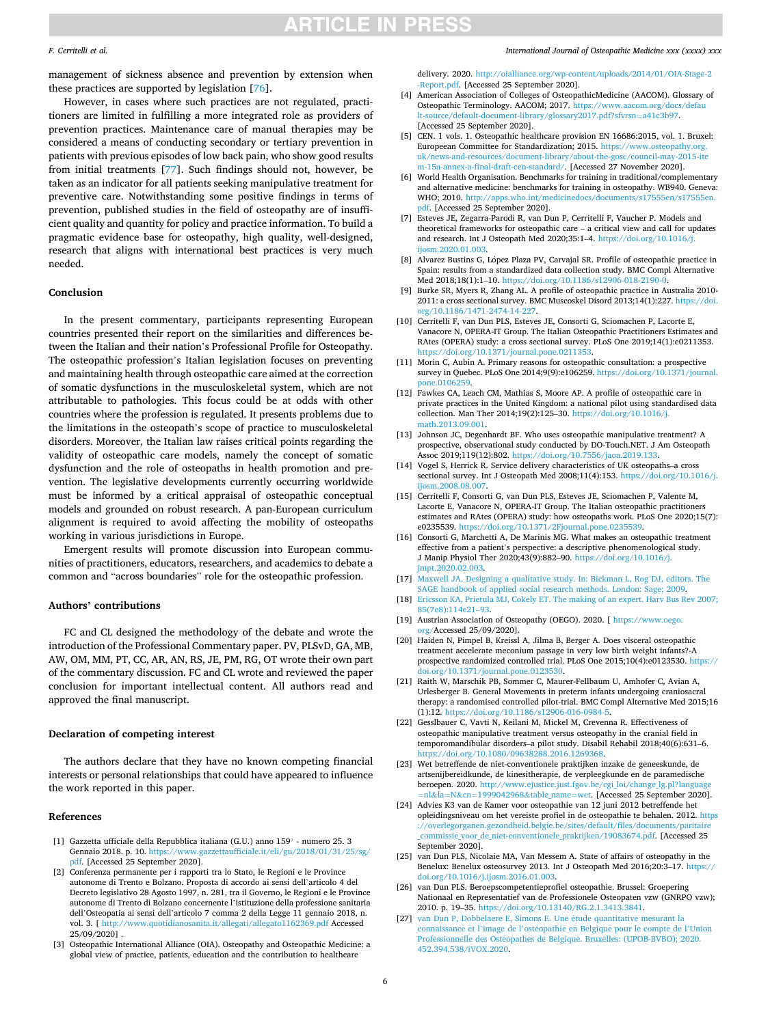### <span id="page-5-0"></span>*F. Cerritelli et al.*

management of sickness absence and prevention by extension when these practices are supported by legislation [\[76](#page-6-0)].

However, in cases where such practices are not regulated, practitioners are limited in fulfilling a more integrated role as providers of prevention practices. Maintenance care of manual therapies may be considered a means of conducting secondary or tertiary prevention in patients with previous episodes of low back pain, who show good results from initial treatments [[77\]](#page-6-0). Such findings should not, however, be taken as an indicator for all patients seeking manipulative treatment for preventive care. Notwithstanding some positive findings in terms of prevention, published studies in the field of osteopathy are of insufficient quality and quantity for policy and practice information. To build a pragmatic evidence base for osteopathy, high quality, well-designed, research that aligns with international best practices is very much needed.

### **Conclusion**

In the present commentary, participants representing European countries presented their report on the similarities and differences between the Italian and their nation's Professional Profile for Osteopathy. The osteopathic profession's Italian legislation focuses on preventing and maintaining health through osteopathic care aimed at the correction of somatic dysfunctions in the musculoskeletal system, which are not attributable to pathologies. This focus could be at odds with other countries where the profession is regulated. It presents problems due to the limitations in the osteopath's scope of practice to musculoskeletal disorders. Moreover, the Italian law raises critical points regarding the validity of osteopathic care models, namely the concept of somatic dysfunction and the role of osteopaths in health promotion and prevention. The legislative developments currently occurring worldwide must be informed by a critical appraisal of osteopathic conceptual models and grounded on robust research. A pan-European curriculum alignment is required to avoid affecting the mobility of osteopaths working in various jurisdictions in Europe.

Emergent results will promote discussion into European communities of practitioners, educators, researchers, and academics to debate a common and "across boundaries" role for the osteopathic profession.

### **Authors' contributions**

FC and CL designed the methodology of the debate and wrote the introduction of the Professional Commentary paper. PV, PLSvD, GA, MB, AW, OM, MM, PT, CC, AR, AN, RS, JE, PM, RG, OT wrote their own part of the commentary discussion. FC and CL wrote and reviewed the paper conclusion for important intellectual content. All authors read and approved the final manuscript.

### **Declaration of competing interest**

The authors declare that they have no known competing financial interests or personal relationships that could have appeared to influence the work reported in this paper.

### **References**

- [1] Gazzetta ufficiale della Repubblica italiana (G.U.) anno 159◦ numero 25. 3 Gennaio 2018. p. 10. [https://www.gazzettaufficiale.it/eli/gu/2018/01/31/25/sg/](https://www.gazzettaufficiale.it/eli/gu/2018/01/31/25/sg/pdf)  odf. [Accessed 25 September 2020].
- [2] Conferenza permanente per i rapporti tra lo Stato, le Regioni e le Province autonome di Trento e Bolzano. Proposta di accordo ai sensi dell'articolo 4 del Decreto legislativo 28 Agosto 1997, n. 281, tra il Governo, le Regioni e le Province autonome di Trento di Bolzano concernente l'istituzione della professione sanitaria dell'Osteopatia ai sensi dell'articolo 7 comma 2 della Legge 11 gennaio 2018, n. vol. 3. [ <http://www.quotidianosanita.it/allegati/allegato1162369.pdf> Accessed 25/09/2020] .
- [3] Osteopathic International Alliance (OIA). Osteopathy and Osteopathic Medicine: a global view of practice, patients, education and the contribution to healthcare

#### *International Journal of Osteopathic Medicine xxx (xxxx) xxx*

delivery. 2020. [http://oialliance.org/wp-content/uploads/2014/01/OIA-Stage-2](http://oialliance.org/wp-content/uploads/2014/01/OIA-Stage-2-Report.pdf)  [-Report.pdf.](http://oialliance.org/wp-content/uploads/2014/01/OIA-Stage-2-Report.pdf) [Accessed 25 September 2020].

- [4] American Association of Colleges of OsteopathicMedicine (AACOM). Glossary of Osteopathic Terminology. AACOM; 2017. [https://www.aacom.org/docs/defau](https://www.aacom.org/docs/default-source/default-document-library/glossary2017.pdf?sfvrsn=a41c3b97) [lt-source/default-document-library/glossary2017.pdf?sfvrsn](https://www.aacom.org/docs/default-source/default-document-library/glossary2017.pdf?sfvrsn=a41c3b97)=a41c3b97. [Accessed 25 September 2020].
- [5] CEN. 1 vols. 1. Osteopathic healthcare provision EN 16686:2015, vol. 1. Bruxel: Europeean Committee for Standardization; 2015. [https://www.osteopathy.org.](https://www.osteopathy.org.uk/news-and-resources/document-library/about-the-gosc/council-may-2015-item-15a-annex-a-final-draft-cen-standard/) [uk/news-and-resources/document-library/about-the-gosc/council-may-2015-ite](https://www.osteopathy.org.uk/news-and-resources/document-library/about-the-gosc/council-may-2015-item-15a-annex-a-final-draft-cen-standard/) [m-15a-annex-a-final-draft-cen-standard/.](https://www.osteopathy.org.uk/news-and-resources/document-library/about-the-gosc/council-may-2015-item-15a-annex-a-final-draft-cen-standard/) [Accessed 27 November 2020].
- [6] World Health Organisation. Benchmarks for training in traditional/complementary and alternative medicine: benchmarks for training in osteopathy. WB940. Geneva: WHO; 2010. http://apps.who.int/medicinedocs/documents/s17555en/s175 [pdf](http://apps.who.int/medicinedocs/documents/s17555en/s17555en.pdf). [Accessed 25 September 2020].
- [7] Esteves JE, Zegarra-Parodi R, van Dun P, Cerritelli F, Vaucher P. Models and theoretical frameworks for osteopathic care – a critical view and call for updates and research. Int J Osteopath Med 2020;35:1–4. [https://doi.org/10.1016/j.](https://doi.org/10.1016/j.ijosm.2020.01.003) [ijosm.2020.01.003.](https://doi.org/10.1016/j.ijosm.2020.01.003)
- [8] Alvarez Bustins G, López Plaza PV, Carvajal SR. Profile of osteopathic practice in Spain: results from a standardized data collection study. BMC Compl Alternative Med 2018;18(1):1-10. https://doi.org/10.1186/s12906-018-2190-
- [9] Burke SR, Myers R, Zhang AL. A profile of osteopathic practice in Australia 2010- 2011: a cross sectional survey. BMC Muscoskel Disord 2013;14(1):227. [https://doi.](https://doi.org/10.1186/1471-2474-14-227)  [org/10.1186/1471-2474-14-227.](https://doi.org/10.1186/1471-2474-14-227)
- [10] Cerritelli F, van Dun PLS, Esteves JE, Consorti G, Sciomachen P, Lacorte E, Vanacore N, OPERA-IT Group. The Italian Osteopathic Practitioners Estimates and RAtes (OPERA) study: a cross sectional survey. PLoS One 2019;14(1):e0211353. [https://doi.org/10.1371/journal.pone.0211353.](https://doi.org/10.1371/journal.pone.0211353)
- [11] Morin C, Aubin A. Primary reasons for osteopathic consultation: a prospective survey in Quebec. PLoS One 2014;9(9):e106259. [https://doi.org/10.1371/journal.](https://doi.org/10.1371/journal.pone.0106259)  [pone.0106259.](https://doi.org/10.1371/journal.pone.0106259)
- [12] Fawkes CA, Leach CM, Mathias S, Moore AP. A profile of osteopathic care in private practices in the United Kingdom: a national pilot using standardised data collection. Man Ther 2014;19(2):125–30. [https://doi.org/10.1016/j.](https://doi.org/10.1016/j.math.2013.09.001) [math.2013.09.001](https://doi.org/10.1016/j.math.2013.09.001).
- [13] Johnson JC, Degenhardt BF. Who uses osteopathic manipulative treatment? A prospective, observational study conducted by DO-Touch.NET. J Am Osteopath Assoc 2019;119(12):802. [https://doi.org/10.7556/jaoa.2019.133.](https://doi.org/10.7556/jaoa.2019.133)
- [14] Vogel S, Herrick R. Service delivery characteristics of UK osteopaths–a cross sectional survey. Int J Osteopath Med 2008;11(4):153. https://doi.org/10.1016/j. ijosm. 2008.08.007.
- [15] Cerritelli F, Consorti G, van Dun PLS, Esteves JE, Sciomachen P, Valente M, Lacorte E, Vanacore N, OPERA-IT Group. The Italian osteopathic practitioners estimates and RAtes (OPERA) study: how osteopaths work. PLoS One 2020;15(7): e0235539. [https://doi.org/10.1371/2Fjournal.pone.0235539.](https://doi.org/10.1371/2Fjournal.pone.0235539)
- [16] Consorti G, Marchetti A, De Marinis MG. What makes an osteopathic treatment effective from a patient's perspective: a descriptive phenomenological study. J Manip Physiol Ther 2020;43(9):882–90. [https://doi.org/10.1016/j.](https://doi.org/10.1016/j.jmpt.2020.02.003) [jmpt.2020.02.003.](https://doi.org/10.1016/j.jmpt.2020.02.003)
- [17] [Maxwell JA. Designing a qualitative study. In: Bickman L, Rog DJ, editors. The](http://refhub.elsevier.com/S1746-0689(21)00020-1/sref17) [SAGE handbook of applied social research methods. London: Sage; 2009](http://refhub.elsevier.com/S1746-0689(21)00020-1/sref17).
- [18] [Ericsson KA, Prietula MJ, Cokely ET. The making of an expert. Harv Bus Rev 2007;](http://refhub.elsevier.com/S1746-0689(21)00020-1/sref18)  [85\(7e8\):114e21](http://refhub.elsevier.com/S1746-0689(21)00020-1/sref18)–93.
- [19] Austrian Association of Osteopathy (OEGO). 2020. [ [https://www.oego.](https://www.oego.org/)  [org/A](https://www.oego.org/)ccessed 25/09/2020].
- [20] Haiden N, Pimpel B, Kreissl A, Jilma B, Berger A. Does visceral osteopathic treatment accelerate meconium passage in very low birth weight infants?-A prospective randomized controlled trial. PLoS One 2015;10(4):e0123530. [https://](https://doi.org/10.1371/journal.pone.0123530)  [doi.org/10.1371/journal.pone.0123530.](https://doi.org/10.1371/journal.pone.0123530)
- [21] Raith W, Marschik PB, Sommer C, Maurer-Fellbaum U, Amhofer C, Avian A, Urlesberger B. General Movements in preterm infants undergoing craniosacral therapy: a randomised controlled pilot-trial. BMC Compl Alternative Med 2015;16 (1):12. [https://doi.org/10.1186/s12906-016-0984-5.](https://doi.org/10.1186/s12906-016-0984-5)
- [22] Gesslbauer C, Vavti N, Keilani M, Mickel M, Crevenna R. Effectiveness of osteopathic manipulative treatment versus osteopathy in the cranial field in temporomandibular disorders–a pilot study. Disabil Rehabil 2018;40(6):631–6. [https://doi.org/10.1080/09638288.2016.1269368.](https://doi.org/10.1080/09638288.2016.1269368)
- [23] Wet betreffende de niet-conventionele praktijken inzake de geneeskunde, de artsenijbereidkunde, de kinesitherapie, de verpleegkunde en de paramedische beroepen. 2020. http://www.ejustice.just.fgov.be/cgi\_loi/change\_lg.pl?lang =nl&la=N&cn=[1999042968](http://www.ejustice.just.fgov.be/cgi_loi/change_lg.pl?language=nl&la=N&cn=1999042968&table_name=wet)&table\_name=wet. [Accessed 25 September 2020].
- [24] Advies K3 van de Kamer voor osteopathie van 12 juni 2012 betreffende het opleidingsniveau om het vereiste profiel in de osteopathie te behalen. 2012. [https](https://overlegorganen.gezondheid.belgie.be/sites/default/files/documents/paritaire_commissie_voor_de_niet-conventionele_praktijken/19083674.pdf)  [://overlegorganen.gezondheid.belgie.be/sites/default/files/documents/paritaire](https://overlegorganen.gezondheid.belgie.be/sites/default/files/documents/paritaire_commissie_voor_de_niet-conventionele_praktijken/19083674.pdf) [\\_commissie\\_voor\\_de\\_niet-conventionele\\_praktijken/19083674.pdf.](https://overlegorganen.gezondheid.belgie.be/sites/default/files/documents/paritaire_commissie_voor_de_niet-conventionele_praktijken/19083674.pdf) [Accessed 25 September 2020].
- [25] van Dun PLS, Nicolaie MA, Van Messem A. State of affairs of osteopathy in the Benelux: Benelux osteosurvey 2013. Int J Osteopath Med 2016;20:3–17. [https://](https://doi.org/10.1016/j.ijosm.2016.01.003) [doi.org/10.1016/j.ijosm.2016.01.003](https://doi.org/10.1016/j.ijosm.2016.01.003).
- [26] van Dun PLS. Beroepscompetentieprofiel osteopathie. Brussel: Groepering Nationaal en Representatief van de Professionele Osteopaten vzw (GNRPO vzw); 2010. p. 19–35.<https://doi.org/10.13140/RG.2.1.3413.3841>.
- [27] [van Dun P, Dobbelaere E, Simons E. Une](http://refhub.elsevier.com/S1746-0689(21)00020-1/sref27) étude quantitative mesurant la connaissance et l'image de l'ostéopathie en Belgique pour le compte de l'Union Professionnelle des Ostéopathes de Belgique. Bruxelles: (UPOB-BVBO); 2020. [452.394.538/iVOX.2020](http://refhub.elsevier.com/S1746-0689(21)00020-1/sref27).